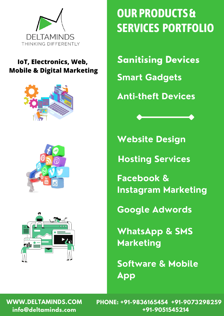

#### **IoT, Electronics, Web, Mobile & Digital Marketing**







## **OUR PRODUCTS & SERVICES PORTFOLIO**

**Sanitising Devices**

**Smart Gadgets**

**Anti-theft Devices**

**Website Design**

**Hosting Services**

**Facebook & Instagram Marketing**

**Google Adwords**

**WhatsApp & SMS Marketing**

**Software & Mobile App**

**WWW.DELTAMINDS.COM PHONE: +91-9836165454 +91-9073298259 info@deltaminds.com +91-9051545214**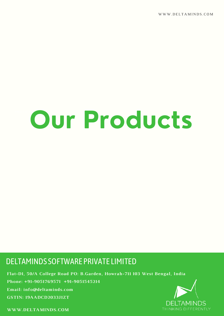WWW.DELTAMINDS.COM

# **Our Products**

#### DELTAMINDS SOFTWARE PRIVATE LIMITED

**Flat-D1, 50/A College Road PO: B.Garden, Howrah-711 103 West Bengal, India Phone: +91-9051769571 +91-9051545214 Email: info@deltaminds.com GSTIN: 19AADCD2033J1ZT**

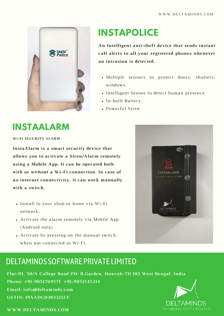

## **INSTAPOLICE**

**An Intelligent anti-theft device that sends instant call alerts to all your registered phones whenever an intrusion is detected.**

- Multiple sensors to protect doors, shutters, windows.
- Intelligent Sensor to detect human presence.
- In-built Battery
- Powerful Siren

## **INSTAALARM**

**Wi-Fi SECURITY ALARM**

**InstaAlarm is a smart security device that allows you to activate a Siren/Alarm remotely using a Mobile App. It can be operated both with or without a Wi-Fi connection. In case of no internet connectivity, it can work manually with a switch.**

- Install to your shop or home via Wi-Fi network.
- Activate the alarm remotely via Mobile App (Android only).
- Activate by pressing on the manual switch when not connected to Wi-Fi.



#### DELTAMINDS SOFTWARE PRIVATE LIMITED

**Flat-D1, 50/A College Road PO: B.Garden, Howrah-711 103 West Bengal, India Phone: +91-9051769571 +91-9051545214 Email: info@deltaminds.com GSTIN: 19AADCD2033J1ZT**

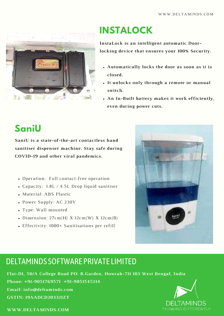

## **INSTALOCK**

**InstaLock is an intelligent automatic Doorlocking device that ensures your 100% Security.**

- **Automatically locks the door as soon as it is closed.**
- **It unlocks only through a remote or manual switch.**
- **An In-Built battery makes it work efficiently, even during power cuts.**

## **SaniU**

**SaniU is a state-of-the-art contactless hand sanitiser dispenser machine. Stay safe during COVID-19 and other viral pandemics.**

- Operation: Full contact-free operation
- Capacity: 1.8L / 4.5L Drop liquid sanitiser
- Material: ABS Plastic
- Power Supply: AC 230V
- Type: Wall mounted
- Dimension:  $27cm(H)$  X  $12cm(W)$  X  $12cm(B)$
- Effectivity: 1000+ Sanitisations per refill



#### DELTAMINDS SOFTWARE PRIVATE LIMITED

**Flat-D1, 50/A College Road PO: B.Garden, Howrah-711 103 West Bengal, India Phone: +91-9051769571 +91-9051545214 Email: info@deltaminds.com GSTIN: 19AADCD2033J1ZT**

![](_page_3_Picture_19.jpeg)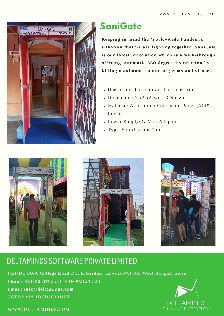![](_page_4_Picture_1.jpeg)

## **SaniGate**

**Keeping in mind the World-Wide Pandemic situation that we are fighting together, SaniGate is our latest innovation which is a walk-through offering automatic 360-degree disinfection by killing maximum amount of germs and viruses.**

- Operation: Full contact-free operation
- Dimension: 7'x3'x2' with 3 Nozzles.
- Material: Aluminium Composite Panel (ACP) Cover.
- Power Supply: 12 Volt Adopter.
- Type: Sanitization Gate.

![](_page_4_Picture_9.jpeg)

## DELTAMINDS SOFTWARE PRIVATE LIMITED

**Flat-D1, 50/A College Road PO: B.Garden, Howrah-711 103 West Bengal, India Phone: +91-9051769571 +91-9051545214 Email: info@deltaminds.com GSTIN: 19AADCD2033J1ZT**

![](_page_4_Picture_12.jpeg)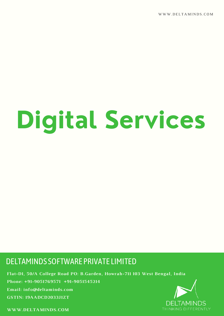WWW.DELTAMINDS.COM

# **Digital Services**

#### DELTAMINDS SOFTWARE PRIVATE LIMITED

**Flat-D1, 50/A College Road PO: B.Garden, Howrah-711 103 West Bengal, India Phone: +91-9051769571 +91-9051545214 Email: info@deltaminds.com GSTIN: 19AADCD2033J1ZT**

![](_page_5_Picture_4.jpeg)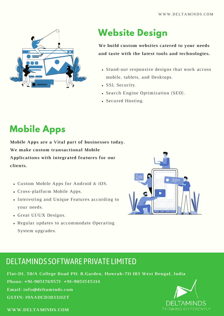![](_page_6_Picture_1.jpeg)

## **Website Design**

**We build custom websites catered to your needs and taste with the latest tools and technologies.**

- Stand-out responsive designs that work across mobile, tablets, and Desktops.
- SSL Security.
- Search Engine Optimization (SEO).
- Secured Hosting.

## **Mobile Apps**

**Mobile Apps are a Vital part of businesses today. We make custom transactional Mobile Applications with integrated features for our clients.**

- Custom Mobile Apps for Android & iOS.
- Cross-platform Mobile Apps.
- Interesting and Unique Features according to your needs.
- Great UI/UX Designs.
- Regular updates to accommodate Operating System upgrades.

![](_page_6_Picture_15.jpeg)

### DELTAMINDS SOFTWARE PRIVATE LIMITED

**Flat-D1, 50/A College Road PO: B.Garden, Howrah-711 103 West Bengal, India Phone: +91-9051769571 +91-9051545214 Email: info@deltaminds.com GSTIN: 19AADCD2033J1ZT**

![](_page_6_Picture_18.jpeg)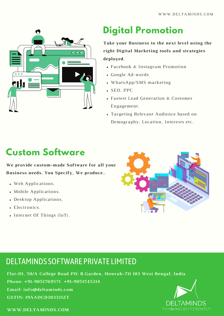![](_page_7_Picture_1.jpeg)

## **Digital Promotion**

**Take your Business to the next level using the right Digital Marketing tools and strategies deployed.**

- Facebook & Instagram Promotion
- Google Ad-words
- WhatsApp/SMS marketing
- SEO, PPC
- Fastest Lead Generation & Customer Engagement.
- Targeting Relevant Audience based on Demography, Location, Interests etc.

## **Custom Software**

**We provide custom-made Software for all your Business needs. You Specify, We produce..**

- Web Applications.
- Mobile Applications.
- Desktop Applications.
- Electronics.
- Internet Of Things (IoT).

![](_page_7_Picture_17.jpeg)

#### DELTAMINDS SOFTWARE PRIVATE LIMITED

**Flat-D1, 50/A College Road PO: B.Garden, Howrah-711 103 West Bengal, India Phone: +91-9051769571 +91-9051545214 Email: info@deltaminds.com GSTIN: 19AADCD2033J1ZT**

![](_page_7_Picture_20.jpeg)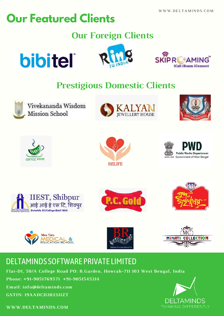## **Our Featured Clients**

## **Our Foreign Clients**

![](_page_8_Picture_3.jpeg)

![](_page_8_Picture_4.jpeg)

![](_page_8_Picture_5.jpeg)

## **Prestigious Domestic Clients**

![](_page_8_Picture_7.jpeg)

Vivekananda Wisdom **Mission School** 

![](_page_8_Picture_9.jpeg)

![](_page_8_Picture_10.jpeg)

![](_page_8_Picture_11.jpeg)

![](_page_8_Picture_12.jpeg)

![](_page_8_Picture_13.jpeg)

![](_page_8_Picture_14.jpeg)

![](_page_8_Picture_15.jpeg)

![](_page_8_Picture_16.jpeg)

![](_page_8_Picture_17.jpeg)

![](_page_8_Picture_18.jpeg)

![](_page_8_Picture_19.jpeg)

### DELTAMINDS SOFTWARE PRIVATE LIMITED

**Flat-D1, 50/A College Road PO: B.Garden, Howrah-711 103 West Bengal, India**

**Phone: +91-9051769571 +91-9051545214**

**Email: info@deltaminds.com**

**GSTIN: 19AADCD2033J1ZT**

![](_page_8_Picture_25.jpeg)